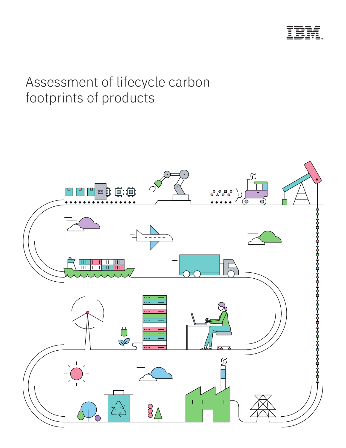

# Assessment of lifecycle carbon footprints of products

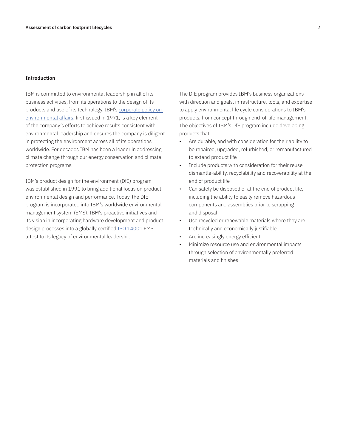# **Introduction**

IBM is committed to environmental leadership in all of its business activities, from its operations to the design of its products and use of its technology. IBM's corporate policy on environmental affairs, first issued in 1971, is a key element of the company's efforts to achieve results consistent with environmental leadership and ensures the company is diligent in protecting the environment across all of its operations worldwide. For decades IBM has been a leader in addressing climate change through our energy conservation and climate protection programs.

IBM's product design for the environment (DfE) program was established in 1991 to bring additional focus on product environmental design and performance. Today, the DfE program is incorporated into IBM's worldwide environmental management system (EMS). IBM's proactive initiatives and its vision in incorporating hardware development and product design processes into a globally certified ISO 14001 EMS attest to its legacy of environmental leadership.

The DfE program provides IBM's business organizations with direction and goals, infrastructure, tools, and expertise to apply environmental life cycle considerations to IBM's products, from concept through end-of-life management. The objectives of IBM's DfE program include developing products that:

- Are durable, and with consideration for their ability to be repaired, upgraded, refurbished, or remanufactured to extend product life
- Include products with consideration for their reuse, dismantle-ability, recyclability and recoverability at the end of product life
- Can safely be disposed of at the end of product life, including the ability to easily remove hazardous components and assemblies prior to scrapping and disposal
- Use recycled or renewable materials where they are technically and economically justifiable
- Are increasingly energy efficient
- Minimize resource use and environmental impacts through selection of environmentally preferred materials and finishes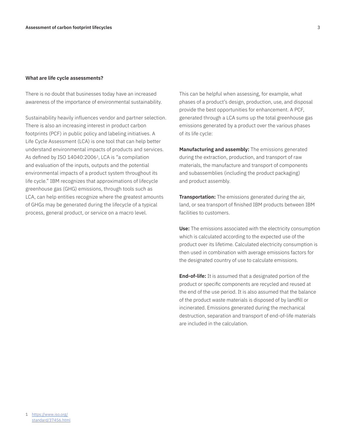# **What are life cycle assessments?**

There is no doubt that businesses today have an increased awareness of the importance of environmental sustainability.

Sustainability heavily influences vendor and partner selection. There is also an increasing interest in product carbon footprints (PCF) in public policy and labeling initiatives. A Life Cycle Assessment (LCA) is one tool that can help better understand environmental impacts of products and services. As defined by ISO 14040:2006<sup>1</sup>, LCA is "a compilation and evaluation of the inputs, outputs and the potential environmental impacts of a product system throughout its life cycle." IBM recognizes that approximations of lifecycle greenhouse gas (GHG) emissions, through tools such as LCA, can help entities recognize where the greatest amounts of GHGs may be generated during the lifecycle of a typical process, general product, or service on a macro level.

This can be helpful when assessing, for example, what phases of a product's design, production, use, and disposal provide the best opportunities for enhancement. A PCF, generated through a LCA sums up the total greenhouse gas emissions generated by a product over the various phases of its life cycle:

**Manufacturing and assembly:** The emissions generated during the extraction, production, and transport of raw materials, the manufacture and transport of components and subassemblies (including the product packaging) and product assembly.

**Transportation:** The emissions generated during the air, land, or sea transport of finished IBM products between IBM facilities to customers.

**Use:** The emissions associated with the electricity consumption which is calculated according to the expected use of the product over its lifetime. Calculated electricity consumption is then used in combination with average emissions factors for the designated country of use to calculate emissions.

**End-of-life:** It is assumed that a designated portion of the product or specific components are recycled and reused at the end of the use period. It is also assumed that the balance of the product waste materials is disposed of by landfill or incinerated. Emissions generated during the mechanical destruction, separation and transport of end-of-life materials are included in the calculation.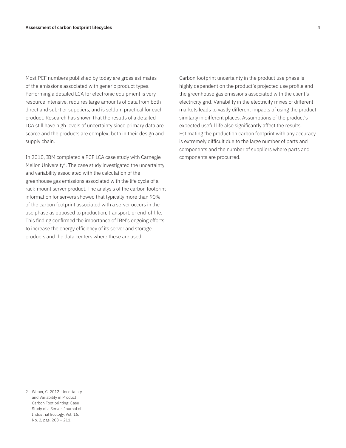Most PCF numbers published by today are gross estimates of the emissions associated with generic product types. Performing a detailed LCA for electronic equipment is very resource intensive, requires large amounts of data from both direct and sub-tier suppliers, and is seldom practical for each product. Research has shown that the results of a detailed LCA still have high levels of uncertainty since primary data are scarce and the products are complex, both in their design and supply chain.

In 2010, IBM completed a PCF LCA case study with Carnegie Mellon University<sup>2</sup>. The case study investigated the uncertainty and variability associated with the calculation of the greenhouse gas emissions associated with the life cycle of a rack-mount server product. The analysis of the carbon footprint information for servers showed that typically more than 90% of the carbon footprint associated with a server occurs in the use phase as opposed to production, transport, or end-of-life. This finding confirmed the importance of IBM's ongoing efforts to increase the energy efficiency of its server and storage products and the data centers where these are used.

Carbon footprint uncertainty in the product use phase is highly dependent on the product's projected use profile and the greenhouse gas emissions associated with the client's electricity grid. Variability in the electricity mixes of different markets leads to vastly different impacts of using the product similarly in different places. Assumptions of the product's expected useful life also significantly affect the results. Estimating the production carbon footprint with any accuracy is extremely difficult due to the large number of parts and components and the number of suppliers where parts and components are procurred.

2 Weber, C. 2012. Uncertainty and Variability in Product Carbon Foot printing: Case Study of a Server. Journal of Industrial Ecology, Vol. 16, No. 2, pgs. 203 – 211.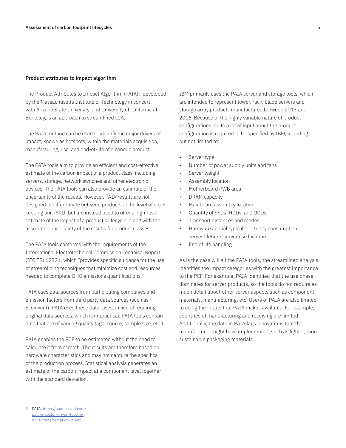# **Product attributes to impact algorithm**

The Product Attributes to Impact Algorithm (PAIA)<sup>3</sup>, developed by the Massachusetts Institute of Technology in concert with Arizona State University, and University of California at Berkeley, is an approach to streamlined LCA.

The PAIA method can be used to identify the major drivers of impact, known as hotspots, within the materials acquisition, manufacturing, use, and end-of-life of a generic product.

The PAIA tools aim to provide an efficient and cost-effective estimate of the carbon impact of a product class, including servers, storage, network switches and other electronic devices. The PAIA tools can also provide an estimate of the uncertainty of the results. However, PAIA results are not designed to differentiate between products at the level of stock keeping unit (SKU) but are instead used to offer a high-level estimate of the impact of a product's lifecycle, along with the associated uncertainty of the results for product classes.

The PAIA tools conforms with the requirements of the International Electrotechnical Commission Technical Report (IEC TR) 62921, which "provides specific guidance for the use of streamlining techniques that minimize cost and resources needed to complete GHG emissions quantifications."

PAIA uses data sources from participating companies and emission factors from third party data sources (such as Ecoinvent). PAIA uses these databases, in lieu of requiring original data sources, which is impractical. PAIA tools contain data that are of varying quality (age, source, sample size, etc.).

PAIA enables the PCF to be estimated without the need to calculate it from scratch. The results are therefore based on hardware characteristics and may not capture the specifics of the production process. Statistical analysis generates an estimate of the carbon impact at a component level together with the standard deviation.

IBM primarily uses the PAIA server and storage tools, which are intended to represent tower, rack, blade servers and storage array products manufactured between 2013 and 2016. Because of the highly variable nature of product configurations, quite a lot of input about the product configuration is required to be specified by IBM, including, but not limited to:

- Server type
- Number of power supply units and fans
- Server weight
- Assembly location
- Motherboard PWB area
- DRAM capacity
- Mainboard assembly location
- Quantity of SSDs, HDDs, and ODDs
- Transport distances and modes
- Hardware annual typical electricity consumption, server lifetime, server use location
- End of life handling

As is the case will all the PAIA tools, the streamlined analysis identifies the impact categories with the greatest importance to the PCF. For example, PAIA identified that the use phase dominates for server products, so the tools do not require as much detail about other server aspects such as component materials, manufacturing, etc. Users of PAIA are also limited to using the inputs that PAIA makes available. For example, countries of manufacturing and receiving are limited. Additionally, the data in PAIA lags innovations that the manufacturer might have implemented, such as lighter, more sustainable packaging materials.

<sup>3</sup> PAIA, https://quantis-intl.com/ paia-a-sector-driven-tool-todrive-transformation-in-ict/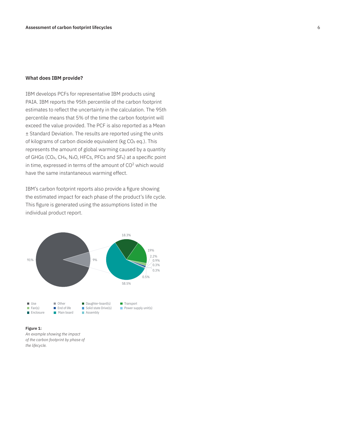# **What does IBM provide?**

IBM develops PCFs for representative IBM products using PAIA. IBM reports the 95th percentile of the carbon footprint estimates to reflect the uncertainty in the calculation. The 95th percentile means that 5% of the time the carbon footprint will exceed the value provided. The PCF is also reported as a Mean ± Standard Deviation. The results are reported using the units of kilograms of carbon dioxide equivalent (kg CO₂ eq.). This represents the amount of global warming caused by a quantity of GHGs (CO2, CH4, N2O, HFCs, PFCs and SF6) at a specific point in time, expressed in terms of the amount of CO<sup>2</sup> which would have the same instantaneous warming effect.

IBM's carbon footprint reports also provide a figure showing the estimated impact for each phase of the product's life cycle. This figure is generated using the assumptions listed in the individual product report.



**Figure 1:**

*An example showing the impact of the carbon footprint by phase of the lifecycle.*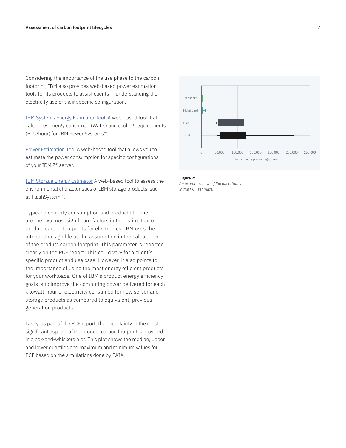Considering the importance of the use phase to the carbon footprint, IBM also provides web-based power estimation tools for its products to assist clients in understanding the electricity use of their specific configuration.

IBM Systems Energy Estimator Tool A web-based tool that calculates energy consumed (Watts) and cooling requirements (BTU/hour) for IBM Power Systems™.

Power Estimation Tool A web-based tool that allows you to estimate the power consumption for specific configurations of your IBM Z® server.

IBM Storage Energy Estimator A web-based tool to assess the environmental characteristics of IBM storage products, such as FlashSystem™.

Typical electricity consumption and product lifetime are the two most significant factors in the estimation of product carbon footprints for electronics. IBM uses the intended design life as the assumption in the calculation of the product carbon footprint. This parameter is reported clearly on the PCF report. This could vary for a client's specific product and use case. However, it also points to the importance of using the most energy efficient products for your workloads. One of IBM's product energy efficiency goals is to improve the computing power delivered for each kilowatt-hour of electricity consumed for new server and storage products as compared to equivalent, previousgeneration products.

Lastly, as part of the PCF report, the uncertainty in the most significant aspects of the product carbon footprint is provided in a box-and-whiskers plot. This plot shows the median, upper and lower quartiles and maximum and minimum values for PCF based on the simulations done by PAIA.



### **Figure 2:**

*An example showing the uncertainty in the PCF estimate.*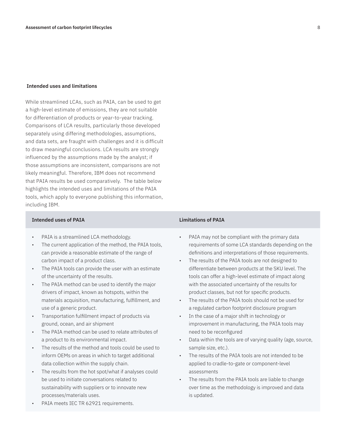# **Intended uses and limitations**

While streamlined LCAs, such as PAIA, can be used to get a high-level estimate of emissions, they are not suitable for differentiation of products or year-to-year tracking. Comparisons of LCA results, particularly those developed separately using differing methodologies, assumptions, and data sets, are fraught with challenges and it is difficult to draw meaningful conclusions. LCA results are strongly influenced by the assumptions made by the analyst; if those assumptions are inconsistent, comparisons are not likely meaningful. Therefore, IBM does not recommend that PAIA results be used comparatively. The table below highlights the intended uses and limitations of the PAIA tools, which apply to everyone publishing this information, including IBM.

# **Intended uses of PAIA Limitations of PAIA**

- PAIA is a streamlined LCA methodology.
- The current application of the method, the PAIA tools, can provide a reasonable estimate of the range of carbon impact of a product class.
- The PAIA tools can provide the user with an estimate of the uncertainty of the results.
- The PAIA method can be used to identify the major drivers of impact, known as hotspots, within the materials acquisition, manufacturing, fulfillment, and use of a generic product.
- Transportation fulfillment impact of products via ground, ocean, and air shipment
- The PAIA method can be used to relate attributes of a product to its environmental impact.
- The results of the method and tools could be used to inform OEMs on areas in which to target additional data collection within the supply chain.
- The results from the hot spot/what if analyses could be used to initiate conversations related to sustainability with suppliers or to innovate new processes/materials uses.
- PAIA meets IEC TR 62921 requirements.

- PAIA may not be compliant with the primary data requirements of some LCA standards depending on the definitions and interpretations of those requirements.
- The results of the PAIA tools are not designed to differentiate between products at the SKU level. The tools can offer a high-level estimate of impact along with the associated uncertainty of the results for product classes, but not for specific products.
- The results of the PAIA tools should not be used for a regulated carbon footprint disclosure program
- In the case of a major shift in technology or improvement in manufacturing, the PAIA tools may need to be reconfigured
- Data within the tools are of varying quality (age, source, sample size, etc.).
- The results of the PAIA tools are not intended to be applied to cradle-to-gate or component-level assessments
- The results from the PAIA tools are liable to change over time as the methodology is improved and data is updated.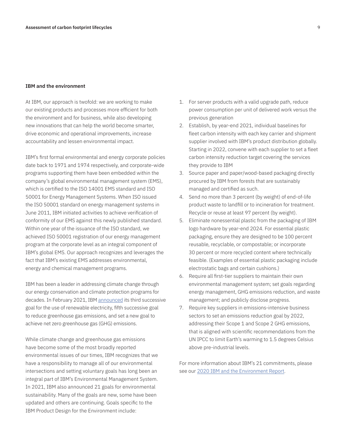# **IBM and the environment**

At IBM, our approach is twofold: we are working to make our existing products and processes more efficient for both the environment and for business, while also developing new innovations that can help the world become smarter, drive economic and operational improvements, increase accountability and lessen environmental impact.

IBM's first formal environmental and energy corporate policies date back to 1971 and 1974 respectively, and corporate-wide programs supporting them have been embedded within the company's global environmental management system (EMS), which is certified to the ISO 14001 EMS standard and ISO 50001 for Energy Management Systems. When ISO issued the ISO 50001 standard on energy management systems in June 2011, IBM initiated activities to achieve verification of conformity of our EMS against this newly published standard. Within one year of the issuance of the ISO standard, we achieved ISO 50001 registration of our energy management program at the corporate level as an integral component of IBM's global EMS. Our approach recognizes and leverages the fact that IBM's existing EMS addresses environmental, energy and chemical management programs.

IBM has been a leader in addressing climate change through our energy conservation and climate protection programs for decades. In February 2021, IBM announced its third successive goal for the use of renewable electricity, fifth successive goal to reduce greenhouse gas emissions, and set a new goal to achieve net zero greenhouse gas (GHG) emissions.

While climate change and greenhouse gas emissions have become some of the most broadly reported environmental issues of our times, IBM recognizes that we have a responsibility to manage all of our environmental intersections and setting voluntary goals has long been an integral part of IBM's Environmental Management System. In 2021, IBM also announced 21 goals for environmental sustainability. Many of the goals are new, some have been updated and others are continuing. Goals specific to the IBM Product Design for the Environment include:

- 1. For server products with a valid upgrade path, reduce power consumption per unit of delivered work versus the previous generation
- 2. Establish, by year-end 2021, individual baselines for fleet carbon intensity with each key carrier and shipment supplier involved with IBM's product distribution globally. Starting in 2022, convene with each supplier to set a fleet carbon intensity reduction target covering the services they provide to IBM
- 3. Source paper and paper/wood-based packaging directly procured by IBM from forests that are sustainably managed and certified as such.
- 4. Send no more than 3 percent (by weight) of end-of-life product waste to landfill or to incineration for treatment. Recycle or reuse at least 97 percent (by weight).
- 5. Eliminate nonessential plastic from the packaging of IBM logo hardware by year-end 2024. For essential plastic packaging, ensure they are designed to be 100 percent reusable, recyclable, or compostable; or incorporate 30 percent or more recycled content where technically feasible. (Examples of essential plastic packaging include electrostatic bags and certain cushions.)
- 6. Require all first-tier suppliers to maintain their own environmental management system; set goals regarding energy management, GHG emissions reduction, and waste management; and publicly disclose progress.
- 7. Require key suppliers in emissions-intensive business sectors to set an emissions reduction goal by 2022, addressing their Scope 1 and Scope 2 GHG emissions, that is aligned with scientific recommendations from the UN IPCC to limit Earth's warming to 1.5 degrees Celsius above pre-industrial levels.

For more information about IBM's 21 commitments, please see our 2020 IBM and the Environment Report.